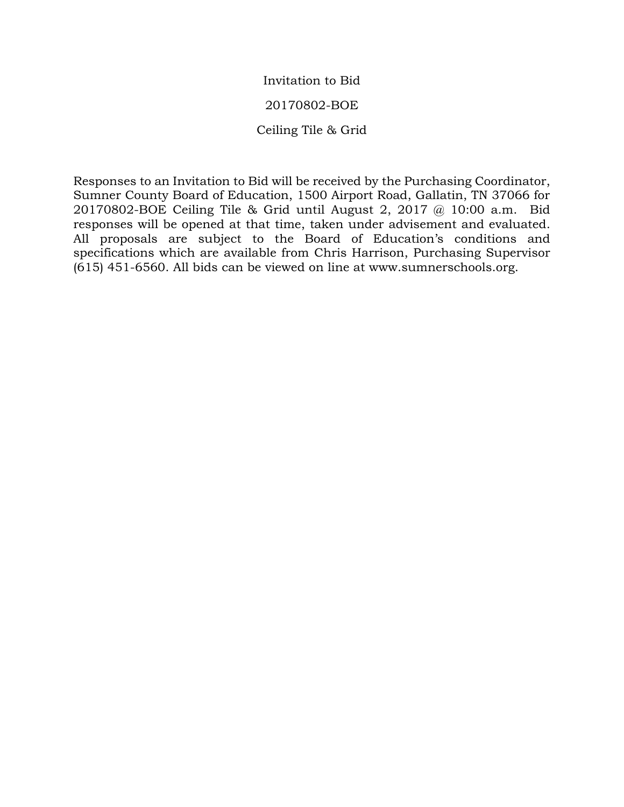Invitation to Bid 20170802-BOE Ceiling Tile & Grid

Responses to an Invitation to Bid will be received by the Purchasing Coordinator, Sumner County Board of Education, 1500 Airport Road, Gallatin, TN 37066 for 20170802-BOE Ceiling Tile & Grid until August 2, 2017 @ 10:00 a.m. Bid responses will be opened at that time, taken under advisement and evaluated. All proposals are subject to the Board of Education's conditions and specifications which are available from Chris Harrison, Purchasing Supervisor (615) 451-6560. All bids can be viewed on line at www.sumnerschools.org.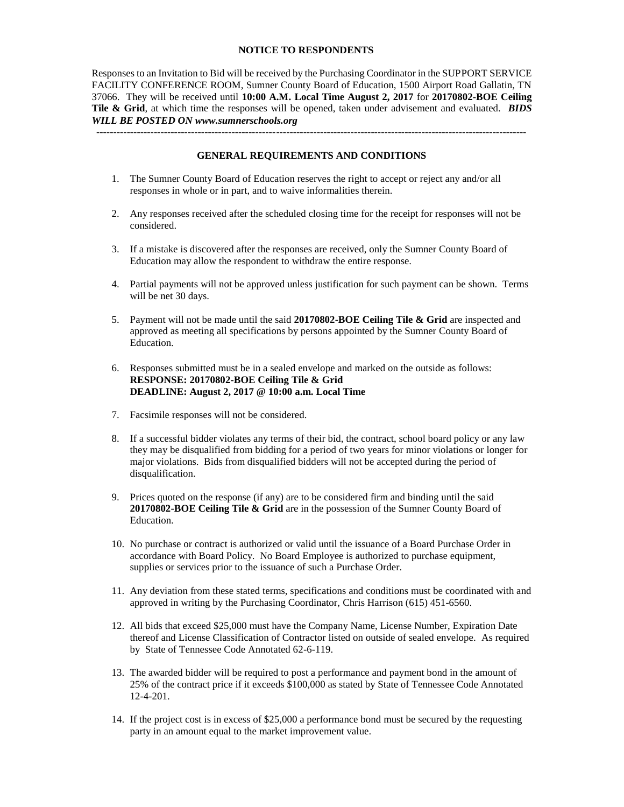## **NOTICE TO RESPONDENTS**

Responses to an Invitation to Bid will be received by the Purchasing Coordinator in the SUPPORT SERVICE FACILITY CONFERENCE ROOM, Sumner County Board of Education, 1500 Airport Road Gallatin, TN 37066. They will be received until **10:00 A.M. Local Time August 2, 2017** for **20170802-BOE Ceiling Tile & Grid**, at which time the responses will be opened, taken under advisement and evaluated. *BIDS WILL BE POSTED ON www.sumnerschools.org*

**GENERAL REQUIREMENTS AND CONDITIONS**

-------------------------------------------------------------------------------------------------------------------------------

- 1. The Sumner County Board of Education reserves the right to accept or reject any and/or all responses in whole or in part, and to waive informalities therein.
- 2. Any responses received after the scheduled closing time for the receipt for responses will not be considered.
- 3. If a mistake is discovered after the responses are received, only the Sumner County Board of Education may allow the respondent to withdraw the entire response.
- 4. Partial payments will not be approved unless justification for such payment can be shown. Terms will be net 30 days.
- 5. Payment will not be made until the said **20170802-BOE Ceiling Tile & Grid** are inspected and approved as meeting all specifications by persons appointed by the Sumner County Board of Education.
- 6. Responses submitted must be in a sealed envelope and marked on the outside as follows: **RESPONSE: 20170802-BOE Ceiling Tile & Grid DEADLINE: August 2, 2017 @ 10:00 a.m. Local Time**
- 7. Facsimile responses will not be considered.
- 8. If a successful bidder violates any terms of their bid, the contract, school board policy or any law they may be disqualified from bidding for a period of two years for minor violations or longer for major violations. Bids from disqualified bidders will not be accepted during the period of disqualification.
- 9. Prices quoted on the response (if any) are to be considered firm and binding until the said **20170802-BOE Ceiling Tile & Grid** are in the possession of the Sumner County Board of Education.
- 10. No purchase or contract is authorized or valid until the issuance of a Board Purchase Order in accordance with Board Policy. No Board Employee is authorized to purchase equipment, supplies or services prior to the issuance of such a Purchase Order.
- 11. Any deviation from these stated terms, specifications and conditions must be coordinated with and approved in writing by the Purchasing Coordinator, Chris Harrison (615) 451-6560.
- 12. All bids that exceed \$25,000 must have the Company Name, License Number, Expiration Date thereof and License Classification of Contractor listed on outside of sealed envelope. As required by State of Tennessee Code Annotated 62-6-119.
- 13. The awarded bidder will be required to post a performance and payment bond in the amount of 25% of the contract price if it exceeds \$100,000 as stated by State of Tennessee Code Annotated 12-4-201.
- 14. If the project cost is in excess of \$25,000 a performance bond must be secured by the requesting party in an amount equal to the market improvement value.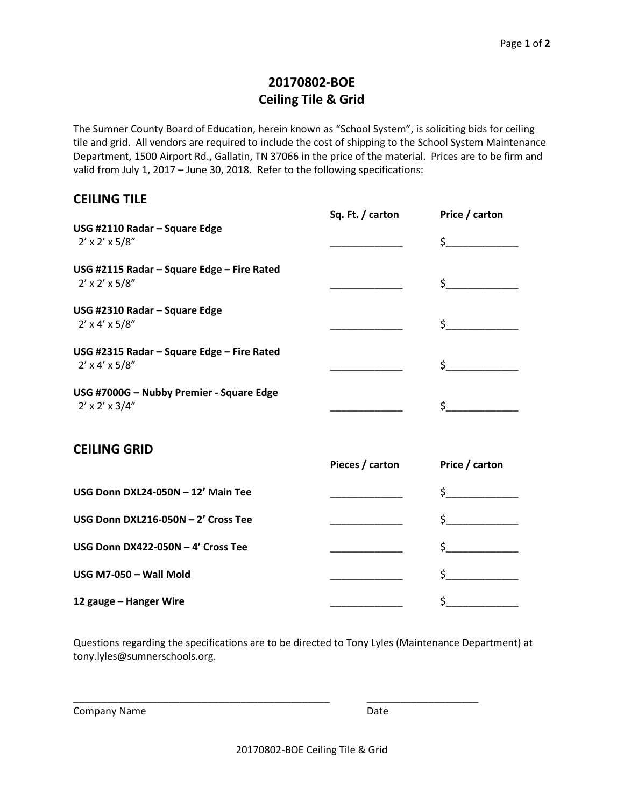## **20170802-BOE Ceiling Tile & Grid**

The Sumner County Board of Education, herein known as "School System", is soliciting bids for ceiling tile and grid. All vendors are required to include the cost of shipping to the School System Maintenance Department, 1500 Airport Rd., Gallatin, TN 37066 in the price of the material. Prices are to be firm and valid from July 1, 2017 – June 30, 2018. Refer to the following specifications:

## **CEILING TILE**

|                                                                           | Sq. Ft. / carton | Price / carton |
|---------------------------------------------------------------------------|------------------|----------------|
| USG #2110 Radar - Square Edge<br>$2' \times 2' \times 5/8''$              |                  | $\zeta$        |
| USG #2115 Radar - Square Edge - Fire Rated<br>$2' \times 2' \times 5/8''$ |                  | $\zeta$        |
| USG #2310 Radar - Square Edge<br>$2' \times 4' \times 5/8''$              |                  | $\sharp$       |
| USG #2315 Radar - Square Edge - Fire Rated<br>$2' \times 4' \times 5/8''$ |                  | $\sharp$       |
| USG #7000G - Nubby Premier - Square Edge<br>$2' \times 2' \times 3/4''$   |                  | $\zeta$        |
| <b>CEILING GRID</b>                                                       | Pieces / carton  | Price / carton |
| USG Donn DXL24-050N - 12' Main Tee                                        |                  | $\frac{1}{2}$  |
| USG Donn DXL216-050N - 2' Cross Tee                                       |                  | $\zeta$        |
| USG Donn DX422-050N - 4' Cross Tee                                        |                  | $\sharp$       |
| USG M7-050 - Wall Mold                                                    |                  |                |
| 12 gauge - Hanger Wire                                                    |                  | \$             |

Questions regarding the specifications are to be directed to Tony Lyles (Maintenance Department) at tony.lyles@sumnerschools.org.

\_\_\_\_\_\_\_\_\_\_\_\_\_\_\_\_\_\_\_\_\_\_\_\_\_\_\_\_\_\_\_\_\_\_\_\_\_\_\_\_\_\_\_\_\_\_ \_\_\_\_\_\_\_\_\_\_\_\_\_\_\_\_\_\_\_\_

Company Name **Date** Date **Date**